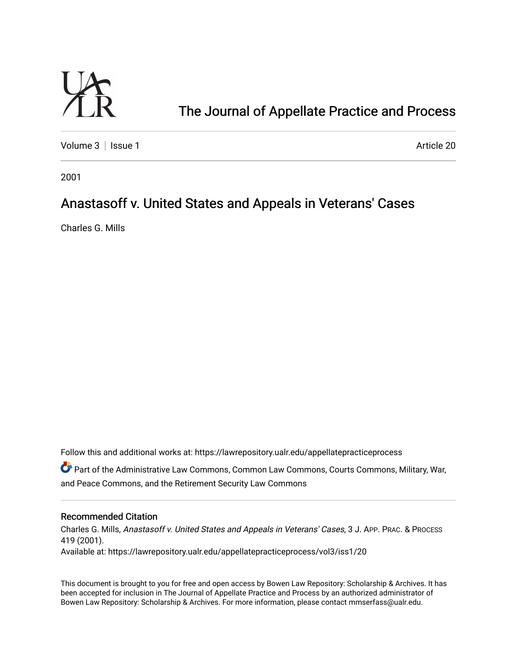

# [The Journal of Appellate Practice and Process](https://lawrepository.ualr.edu/appellatepracticeprocess)

[Volume 3](https://lawrepository.ualr.edu/appellatepracticeprocess/vol3) | [Issue 1](https://lawrepository.ualr.edu/appellatepracticeprocess/vol3/iss1) Article 20

2001

## Anastasoff v. United States and Appeals in Veterans' Cases

Charles G. Mills

Follow this and additional works at: [https://lawrepository.ualr.edu/appellatepracticeprocess](https://lawrepository.ualr.edu/appellatepracticeprocess?utm_source=lawrepository.ualr.edu%2Fappellatepracticeprocess%2Fvol3%2Fiss1%2F20&utm_medium=PDF&utm_campaign=PDFCoverPages) 

Part of the [Administrative Law Commons,](http://network.bepress.com/hgg/discipline/579?utm_source=lawrepository.ualr.edu%2Fappellatepracticeprocess%2Fvol3%2Fiss1%2F20&utm_medium=PDF&utm_campaign=PDFCoverPages) [Common Law Commons,](http://network.bepress.com/hgg/discipline/1120?utm_source=lawrepository.ualr.edu%2Fappellatepracticeprocess%2Fvol3%2Fiss1%2F20&utm_medium=PDF&utm_campaign=PDFCoverPages) [Courts Commons](http://network.bepress.com/hgg/discipline/839?utm_source=lawrepository.ualr.edu%2Fappellatepracticeprocess%2Fvol3%2Fiss1%2F20&utm_medium=PDF&utm_campaign=PDFCoverPages), [Military, War,](http://network.bepress.com/hgg/discipline/861?utm_source=lawrepository.ualr.edu%2Fappellatepracticeprocess%2Fvol3%2Fiss1%2F20&utm_medium=PDF&utm_campaign=PDFCoverPages)  [and Peace Commons](http://network.bepress.com/hgg/discipline/861?utm_source=lawrepository.ualr.edu%2Fappellatepracticeprocess%2Fvol3%2Fiss1%2F20&utm_medium=PDF&utm_campaign=PDFCoverPages), and the [Retirement Security Law Commons](http://network.bepress.com/hgg/discipline/873?utm_source=lawrepository.ualr.edu%2Fappellatepracticeprocess%2Fvol3%2Fiss1%2F20&utm_medium=PDF&utm_campaign=PDFCoverPages)

#### Recommended Citation

Charles G. Mills, Anastasoff v. United States and Appeals in Veterans' Cases, 3 J. APP. PRAC. & PROCESS 419 (2001). Available at: https://lawrepository.ualr.edu/appellatepracticeprocess/vol3/iss1/20

This document is brought to you for free and open access by [Bowen Law Repository: Scholarship & Archives.](macro%20site.link) It has been accepted for inclusion in The Journal of Appellate Practice and Process by an authorized administrator of Bowen Law Repository: Scholarship & Archives. For more information, please contact [mmserfass@ualr.edu.](mailto:mmserfass@ualr.edu)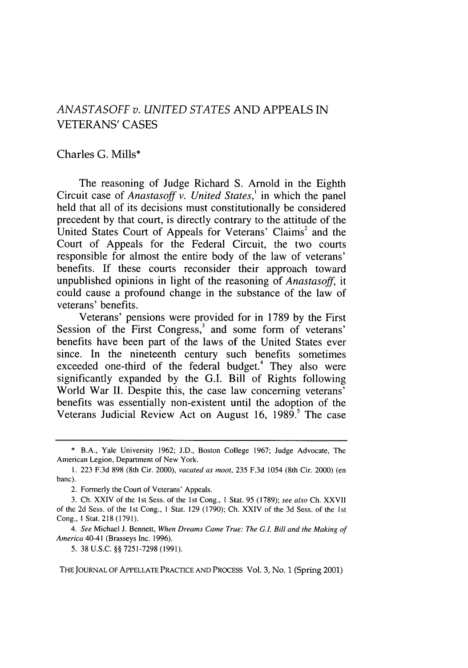### *ANASTASOFF v. UNITED STATES* AND APPEALS IN VETERANS' CASES

#### Charles G. Mills\*

The reasoning of Judge Richard S. Arnold in the Eighth Circuit case of *Anastasoff v. United States,'* in which the panel held that all of its decisions must constitutionally be considered precedent by that court, is directly contrary to the attitude of the United States Court of Appeals for Veterans' Claims' and the Court of Appeals for the Federal Circuit, the two courts responsible for almost the entire body of the law of veterans' benefits. If these courts reconsider their approach toward unpublished opinions in light of the reasoning of *Anastasoff,* it could cause a profound change in the substance of the law of veterans' benefits.

Veterans' pensions were provided for in 1789 by the First Session of the First Congress, $3$  and some form of veterans' benefits have been part of the laws of the United States ever since. In the nineteenth century such benefits sometimes exceeded one-third of the federal budget.<sup>4</sup> They also were significantly expanded by the G.I. Bill of Rights following World War II. Despite this, the case law concerning veterans' benefits was essentially non-existent until the adoption of the Veterans Judicial Review Act on August 16, 1989.' The case

THE JOURNAL OF APPELLATE PRACTICE AND PROCESS Vol. 3, No. 1 (Spring 2001)

<sup>\*</sup> B.A., Yale University 1962; J.D., Boston College 1967; Judge Advocate, The American Legion, Department of New York.

**<sup>1.</sup>** 223 F.3d 898 (8th Cir. 2000), *vacated as noot,* 235 F.3d 1054 (8th Cir. 2000) (en banc).

<sup>2.</sup> Formerly the Court of Veterans' Appeals.

<sup>3.</sup> Ch. XXIV of the **Ist** Sess. of the 1st Cong., **I** Stat. 95 (1789); *see also* Ch. XXVII of the 2d Sess. of the 1st Cong., **I** Stat. 129 (1790); Ch. XXIV of the 3d Sess. of the 1st Cong., I Stat. 218 (1791).

*<sup>4.</sup> See* Michael J. Bennett, *When Dreams Came True: The G.L Bill and the Making of* America 40-41 (Brasseys Inc. 1996).

<sup>5. 38</sup> U.S.C. §§ 7251-7298 (1991).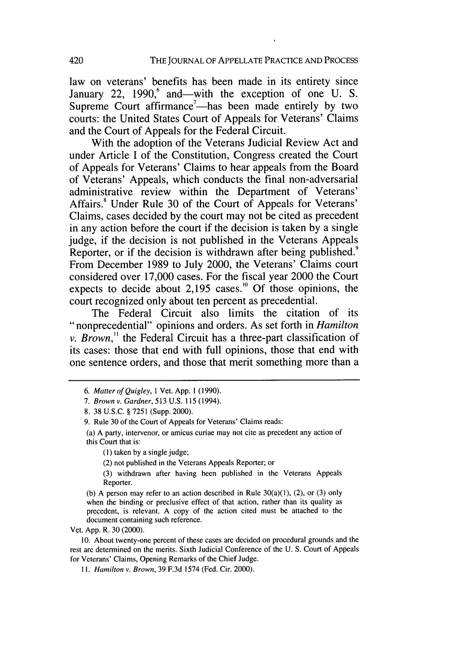law on veterans' benefits has been made in its entirety since January 22, 1990, $6$  and—with the exception of one U. S. Supreme Court affirmance<sup>7</sup>—has been made entirely by two courts: the United States Court of Appeals for Veterans' Claims and the Court of Appeals for the Federal Circuit.

With the adoption of the Veterans Judicial Review Act and under Article I of the Constitution, Congress created the Court of Appeals for Veterans' Claims to hear appeals from the Board of Veterans' Appeals, which conducts the final non-adversarial administrative review within the Department of Veterans' Affairs.<sup>8</sup> Under Rule 30 of the Court of Appeals for Veterans' Claims, cases decided by the court may not be cited as precedent in any action before the court if the decision is taken by a single judge, if the decision is not published in the Veterans Appeals Reporter, or if the decision is withdrawn after being published.<sup>9</sup> From December 1989 to July 2000, the Veterans' Claims court considered over 17,000 cases. For the fiscal year 2000 the Court expects to decide about  $2,195$  cases.<sup>10</sup> Of those opinions, the court recognized only about ten percent as precedential.

The Federal Circuit also limits the citation of its "nonprecedential" opinions and orders. As set forth in *Hamilton v. Brown,"* the Federal Circuit has a three-part classification of its cases: those that end with full opinions, those that end with one sentence orders, and those that merit something more than a

9. Rule 30 of the Court of Appeals for Veterans' Claims reads:

**(1)** taken by a single judge;

(2) not published in the Veterans Appeals Reporter; or

(3) withdrawn after having been published in the Veterans Appeals Reporter.

(b) A person may refer to an action described in Rule  $30(a)(1)$ ,  $(2)$ , or  $(3)$  only when the binding or preclusive effect of that action, rather than its quality as precedent, is relevant. A copy of the action cited must be attached to the document containing such reference.

Vet. App. R. 30 (2000).

10. About twenty-one percent of these cases are decided on procedural grounds and the rest are determined on the merits. Sixth Judicial Conference of the U. S. Court of Appeals for Veterans' Claims, Opening Remarks of the Chief Judge.

**1I.** *Hamilton v. Brown,* 39 F.3d 1574 (Fed. Cir. 2000).

*<sup>6.</sup> Matter of Quigley,* 1 Vet. App. 1 (1990).

*<sup>7.</sup> Brown v. Gardner,* 513 U.S. 115 (1994).

<sup>8. 38</sup> U.S.C. § 7251 (Supp. 2000).

<sup>(</sup>a) A party, intervenor, or amicus curiae may not cite as precedent any action of this Court that is: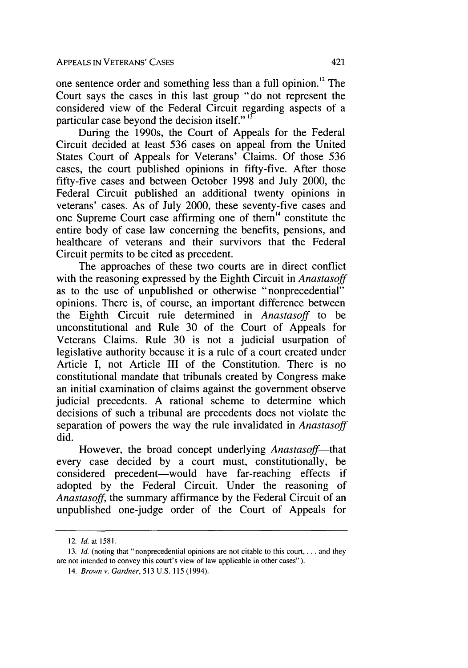one sentence order and something less than a full opinion.'2 The Court says the cases in this last group "do not represent the considered view of the Federal Circuit regarding aspects of a particular case beyond the decision itself." **"**

During the 1990s, the Court of Appeals for the Federal Circuit decided at least 536 cases on appeal from the United States Court of Appeals for Veterans' Claims. Of those 536 cases, the court published opinions in fifty-five. After those fifty-five cases and between October 1998 and July 2000, the Federal Circuit published an additional twenty opinions in veterans' cases. As of July 2000, these seventy-five cases and one Supreme Court case affirming one of them<sup>14</sup> constitute the entire body of case law concerning the benefits, pensions, and healthcare of veterans and their survivors that the Federal Circuit permits to be cited as precedent.

The approaches of these two courts are in direct conflict with the reasoning expressed by the Eighth Circuit in *Anastasoff* as to the use of unpublished or otherwise "nonprecedential" opinions. There is, of course, an important difference between the Eighth Circuit rule determined in *Anastasoff* to be unconstitutional and Rule 30 of the Court of Appeals for Veterans Claims. Rule 30 is not a judicial usurpation of legislative authority because it is a rule of a court created under Article I, not Article III of the Constitution. There is no constitutional mandate that tribunals created by Congress make an initial examination of claims against the government observe judicial precedents. A rational scheme to determine which decisions of such a tribunal are precedents does not violate the separation of powers the way the rule invalidated in *Anastasoff* did.

However, the broad concept underlying *Anastasoff*—that every case decided by a court must, constitutionally, be considered precedent-would have far-reaching effects if adopted by the Federal Circuit. Under the reasoning of *Anastasoff,* the summary affirmance by the Federal Circuit of an unpublished one-judge order of the Court of Appeals for

<sup>12.</sup> *Id.* at 1581.

<sup>13.</sup> *Id.* (noting that "nonprecedential opinions are not citable to this court, ... and they are not intended to convey this court's view of law applicable in other cases").

<sup>14.</sup> *Brown v. Gardner,* 513 U.S. 115 (1994).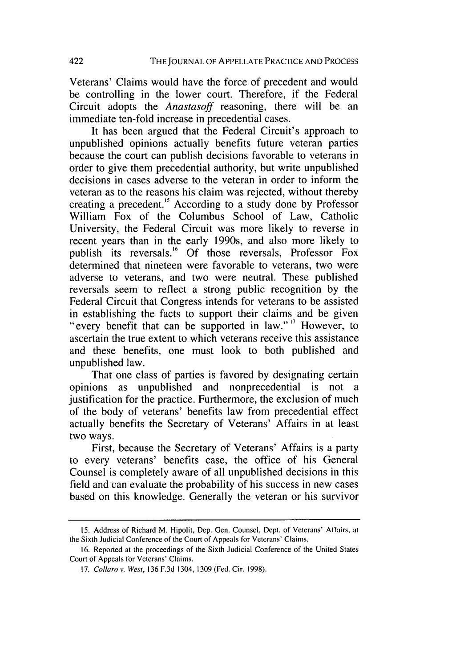Veterans' Claims would have the force of precedent and would be controlling in the lower court. Therefore, if the Federal Circuit adopts the *Anastasoff* reasoning, there will be an immediate ten-fold increase in precedential cases.

It has been argued that the Federal Circuit's approach to unpublished opinions actually benefits future veteran parties because the court can publish decisions favorable to veterans in order to give them precedential authority, but write unpublished decisions in cases adverse to the veteran in order to inform the veteran as to the reasons his claim was rejected, without thereby creating a precedent.'5 According to a study done by Professor William Fox of the Columbus School of Law, Catholic University, the Federal Circuit was more likely to reverse in recent years than in the early 1990s, and also more likely to publish its reversals.<sup>16</sup> Of those reversals, Professor Fox determined that nineteen were favorable to veterans, two were adverse to veterans, and two were neutral. These published reversals seem to reflect a strong public recognition by the Federal Circuit that Congress intends for veterans to be assisted in establishing the facts to support their claims and be given "every benefit that can be supported in law." **"** However, to ascertain the true extent to which veterans receive this assistance and these benefits, one must look to both published and unpublished law.

That one class of parties is favored by designating certain opinions as unpublished and nonprecedential is not a justification for the practice. Furthermore, the exclusion of much of the body of veterans' benefits law from precedential effect actually benefits the Secretary of Veterans' Affairs in at least two ways.

First, because the Secretary of Veterans' Affairs is a party to every veterans' benefits case, the office of his General Counsel is completely aware of all unpublished decisions in this field and can evaluate the probability of his success in new cases based on this knowledge. Generally the veteran or his survivor

<sup>15.</sup> Address of Richard M. Hipolit, Dep. Gen. Counsel, Dept. of Veterans' Affairs, at the Sixth Judicial Conference of the Court of Appeals for Veterans' Claims.

<sup>16.</sup> Reported at the proceedings of the Sixth Judicial Conference of the United States Court of Appeals for Veterans' Claims.

<sup>17.</sup> Collaro *v.* West, 136 F.3d 1304, 1309 (Fed. Cir. 1998).